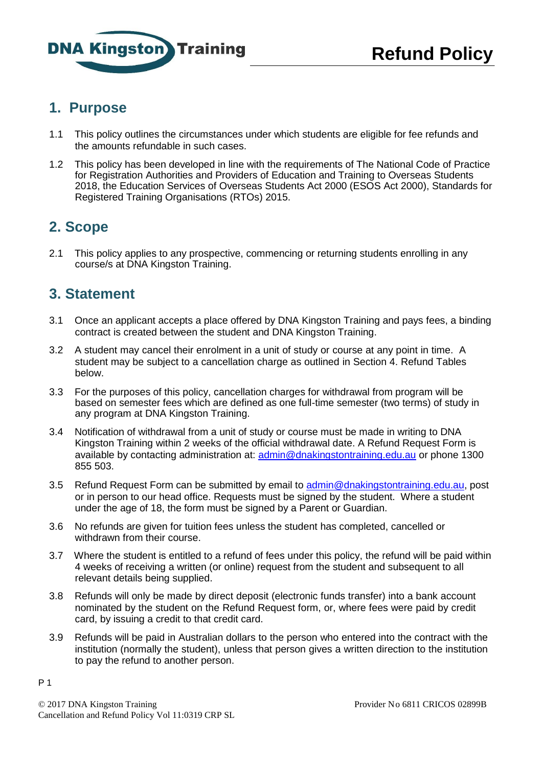

### **1. Purpose**

- 1.1 This policy outlines the circumstances under which students are eligible for fee refunds and the amounts refundable in such cases.
- 1.2 This policy has been developed in line with the requirements of The National Code of Practice for Registration Authorities and Providers of Education and Training to Overseas Students 2018, the Education Services of Overseas Students Act 2000 (ESOS Act 2000), Standards for Registered Training Organisations (RTOs) 2015.

# **2. Scope**

2.1 This policy applies to any prospective, commencing or returning students enrolling in any course/s at DNA Kingston Training.

## **3. Statement**

- 3.1 Once an applicant accepts a place offered by DNA Kingston Training and pays fees, a binding contract is created between the student and DNA Kingston Training.
- 3.2 A student may cancel their enrolment in a unit of study or course at any point in time. A student may be subject to a cancellation charge as outlined in Section 4. Refund Tables below.
- 3.3 For the purposes of this policy, cancellation charges for withdrawal from program will be based on semester fees which are defined as one full-time semester (two terms) of study in any program at DNA Kingston Training.
- 3.4 Notification of withdrawal from a unit of study or course must be made in writing to DNA Kingston Training within 2 weeks of the official withdrawal date. A Refund Request Form is available by contacting administration at: [admin@dnakingstontraining.edu.au](mailto:admin@dnakingstontraining.edu.au) or phone 1300 855 503.
- 3.5 Refund Request Form can be submitted by email to [admin@dnakingstontraining.edu.au, post](mailto:admin@dnakingstontraining.edu.au) or in person to our head office. Requests must be signed by the student. Where a student under the age of 18, the form must be signed by a Parent or Guardian.
- 3.6 No refunds are given for tuition fees unless the student has completed, cancelled or withdrawn from their course.
- 3.7 Where the student is entitled to a refund of fees under this policy, the refund will be paid within 4 weeks of receiving a written (or online) request from the student and subsequent to all relevant details being supplied.
- 3.8 Refunds will only be made by direct deposit (electronic funds transfer) into a bank account nominated by the student on the Refund Request form, or, where fees were paid by credit card, by issuing a credit to that credit card.
- 3.9 Refunds will be paid in Australian dollars to the person who entered into the contract with the institution (normally the student), unless that person gives a written direction to the institution to pay the refund to another person.

P 1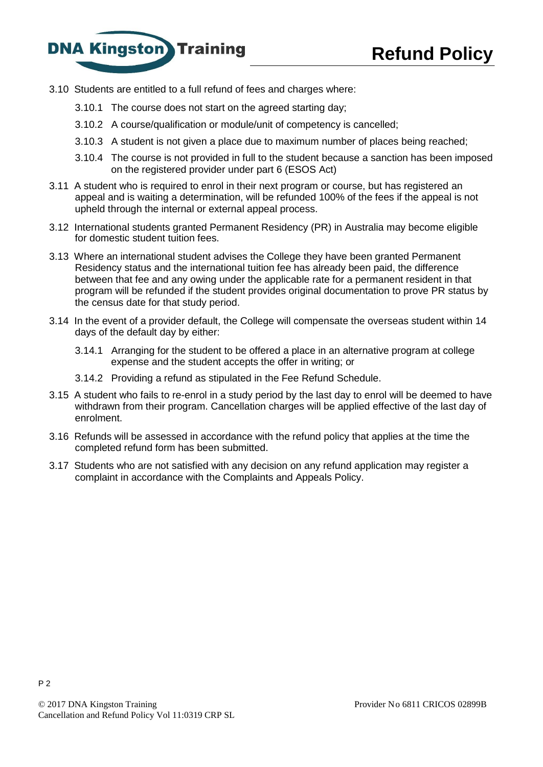



- 3.10 Students are entitled to a full refund of fees and charges where:
	- 3.10.1 The course does not start on the agreed starting day;
	- 3.10.2 A course/qualification or module/unit of competency is cancelled;
	- 3.10.3 A student is not given a place due to maximum number of places being reached;
	- 3.10.4 The course is not provided in full to the student because a sanction has been imposed on the registered provider under part 6 (ESOS Act)
- 3.11 A student who is required to enrol in their next program or course, but has registered an appeal and is waiting a determination, will be refunded 100% of the fees if the appeal is not upheld through the internal or external appeal process.
- 3.12 International students granted Permanent Residency (PR) in Australia may become eligible for domestic student tuition fees.
- 3.13 Where an international student advises the College they have been granted Permanent Residency status and the international tuition fee has already been paid, the difference between that fee and any owing under the applicable rate for a permanent resident in that program will be refunded if the student provides original documentation to prove PR status by the census date for that study period.
- 3.14 In the event of a provider default, the College will compensate the overseas student within 14 days of the default day by either:
	- 3.14.1 Arranging for the student to be offered a place in an alternative program at college expense and the student accepts the offer in writing; or
	- 3.14.2 Providing a refund as stipulated in the Fee Refund Schedule.
- 3.15 A student who fails to re-enrol in a study period by the last day to enrol will be deemed to have withdrawn from their program. Cancellation charges will be applied effective of the last day of enrolment.
- 3.16 Refunds will be assessed in accordance with the refund policy that applies at the time the completed refund form has been submitted.
- 3.17 Students who are not satisfied with any decision on any refund application may register a complaint in accordance with the Complaints and Appeals Policy.

P 2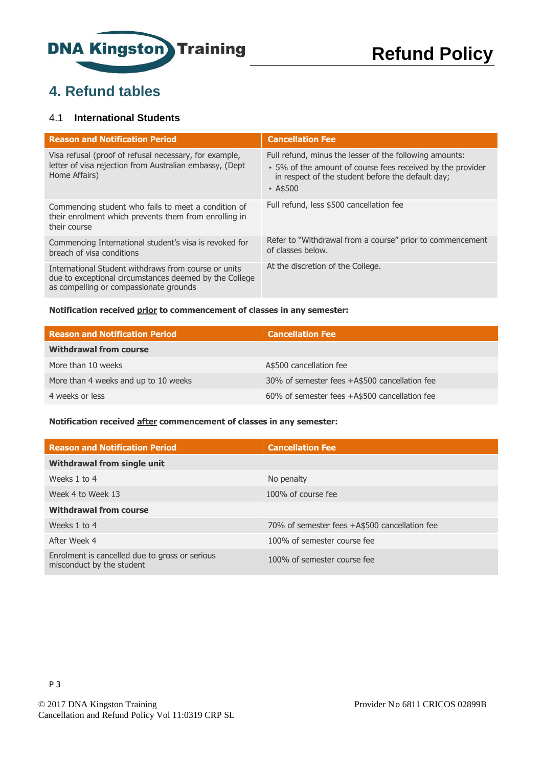

# **4. Refund tables**

### 4.1 **International Students**

| <b>Reason and Notification Period</b>                                                                                                                    | <b>Cancellation Fee</b>                                                                                                                                                                      |
|----------------------------------------------------------------------------------------------------------------------------------------------------------|----------------------------------------------------------------------------------------------------------------------------------------------------------------------------------------------|
| Visa refusal (proof of refusal necessary, for example,<br>letter of visa rejection from Australian embassy, (Dept<br>Home Affairs)                       | Full refund, minus the lesser of the following amounts:<br>• 5% of the amount of course fees received by the provider<br>in respect of the student before the default day;<br>$\cdot$ A\$500 |
| Commencing student who fails to meet a condition of<br>their enrolment which prevents them from enrolling in<br>their course                             | Full refund, less \$500 cancellation fee                                                                                                                                                     |
| Commencing International student's visa is revoked for<br>breach of visa conditions                                                                      | Refer to "Withdrawal from a course" prior to commencement<br>of classes below.                                                                                                               |
| International Student withdraws from course or units<br>due to exceptional circumstances deemed by the College<br>as compelling or compassionate grounds | At the discretion of the College.                                                                                                                                                            |

#### **Notification received prior to commencement of classes in any semester:**

| <b>Reason and Notification Period</b> | <b>Cancellation Fee</b>                       |
|---------------------------------------|-----------------------------------------------|
| <b>Withdrawal from course</b>         |                                               |
| More than 10 weeks                    | A\$500 cancellation fee                       |
| More than 4 weeks and up to 10 weeks  | 30% of semester fees +A\$500 cancellation fee |
| 4 weeks or less                       | 60% of semester fees +A\$500 cancellation fee |

#### **Notification received after commencement of classes in any semester:**

| <b>Reason and Notification Period</b>                                       | <b>Cancellation Fee</b>                       |
|-----------------------------------------------------------------------------|-----------------------------------------------|
| Withdrawal from single unit                                                 |                                               |
| Weeks 1 to 4                                                                | No penalty                                    |
| Week 4 to Week 13                                                           | 100% of course fee                            |
| <b>Withdrawal from course</b>                                               |                                               |
| Weeks 1 to 4                                                                | 70% of semester fees +A\$500 cancellation fee |
| After Week 4                                                                | 100% of semester course fee                   |
| Enrolment is cancelled due to gross or serious<br>misconduct by the student | 100% of semester course fee                   |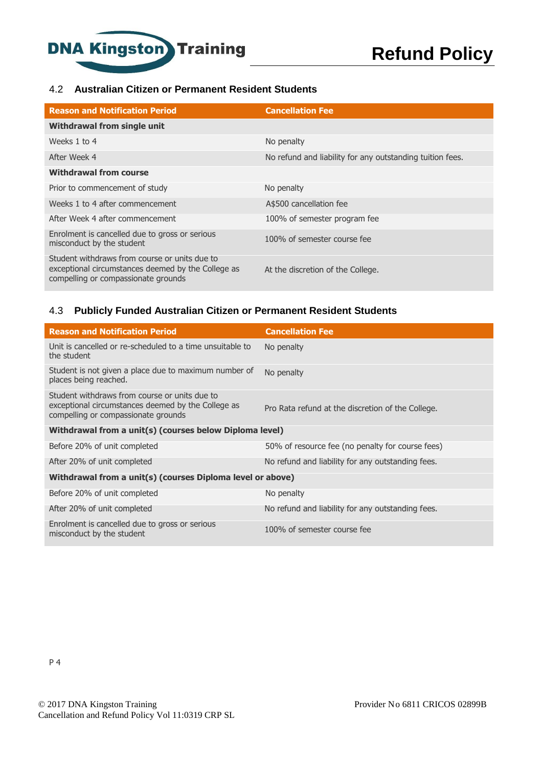

### 4.2 **Australian Citizen or Permanent Resident Students**

| <b>Reason and Notification Period</b>                                                                                                      | <b>Cancellation Fee</b>                                   |
|--------------------------------------------------------------------------------------------------------------------------------------------|-----------------------------------------------------------|
| <b>Withdrawal from single unit</b>                                                                                                         |                                                           |
| Weeks 1 to 4                                                                                                                               | No penalty                                                |
| After Week 4                                                                                                                               | No refund and liability for any outstanding tuition fees. |
| <b>Withdrawal from course</b>                                                                                                              |                                                           |
| Prior to commencement of study                                                                                                             | No penalty                                                |
| Weeks 1 to 4 after commencement                                                                                                            | A\$500 cancellation fee                                   |
| After Week 4 after commencement                                                                                                            | 100% of semester program fee                              |
| Enrolment is cancelled due to gross or serious<br>misconduct by the student                                                                | 100% of semester course fee                               |
| Student withdraws from course or units due to<br>exceptional circumstances deemed by the College as<br>compelling or compassionate grounds | At the discretion of the College.                         |

### 4.3 **Publicly Funded Australian Citizen or Permanent Resident Students**

| <b>Reason and Notification Period</b>                                                                                                      | <b>Cancellation Fee</b>                           |  |  |
|--------------------------------------------------------------------------------------------------------------------------------------------|---------------------------------------------------|--|--|
| Unit is cancelled or re-scheduled to a time unsuitable to<br>the student                                                                   | No penalty                                        |  |  |
| Student is not given a place due to maximum number of<br>places being reached.                                                             | No penalty                                        |  |  |
| Student withdraws from course or units due to<br>exceptional circumstances deemed by the College as<br>compelling or compassionate grounds | Pro Rata refund at the discretion of the College. |  |  |
| Withdrawal from a unit(s) (courses below Diploma level)                                                                                    |                                                   |  |  |
| Before 20% of unit completed                                                                                                               | 50% of resource fee (no penalty for course fees)  |  |  |
| After 20% of unit completed                                                                                                                | No refund and liability for any outstanding fees. |  |  |
| Withdrawal from a unit(s) (courses Diploma level or above)                                                                                 |                                                   |  |  |
| Before 20% of unit completed                                                                                                               | No penalty                                        |  |  |
| After 20% of unit completed                                                                                                                | No refund and liability for any outstanding fees. |  |  |
| Enrolment is cancelled due to gross or serious<br>misconduct by the student                                                                | 100% of semester course fee                       |  |  |